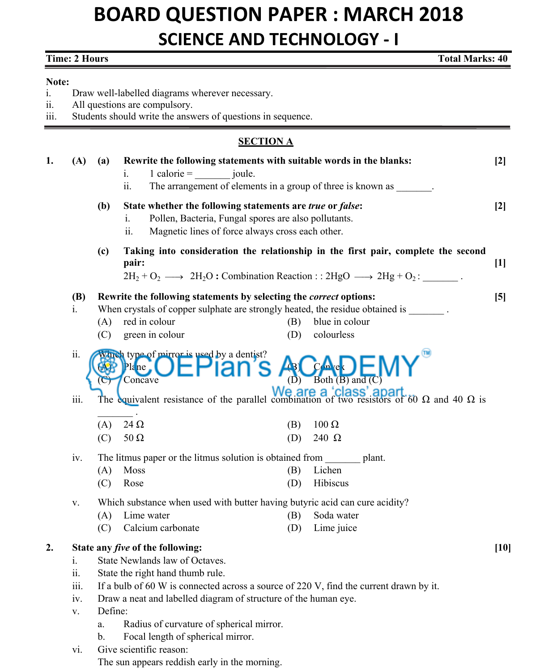## **BOARD QUESTION PAPER : MARCH 2018 SCIENCE AND TECHNOLOGY - I**

| <b>Time: 2 Hours</b><br><b>Total Marks: 40</b> |                                       |                     |                                                                                                                                                                                                                                                                                                                                                                                                                                         |        |
|------------------------------------------------|---------------------------------------|---------------------|-----------------------------------------------------------------------------------------------------------------------------------------------------------------------------------------------------------------------------------------------------------------------------------------------------------------------------------------------------------------------------------------------------------------------------------------|--------|
| Note:<br>1.<br>11.<br>111.                     |                                       |                     | Draw well-labelled diagrams wherever necessary.<br>All questions are compulsory.<br>Students should write the answers of questions in sequence.                                                                                                                                                                                                                                                                                         |        |
|                                                |                                       |                     | <b>SECTION A</b>                                                                                                                                                                                                                                                                                                                                                                                                                        |        |
| 1.                                             | (A)                                   | (a)                 | Rewrite the following statements with suitable words in the blanks:<br>$1$ calorie = $i$ joule.<br>$\mathbf{i}$ .<br>ii.<br>The arrangement of elements in a group of three is known as                                                                                                                                                                                                                                                 | $[2]$  |
|                                                |                                       | (b)                 | State whether the following statements are true or false:<br>Pollen, Bacteria, Fungal spores are also pollutants.<br>1.<br>ii.<br>Magnetic lines of force always cross each other.                                                                                                                                                                                                                                                      | $[2]$  |
|                                                |                                       | (c)                 | Taking into consideration the relationship in the first pair, complete the second<br>pair:<br>$2H_2 + O_2 \longrightarrow 2H_2O$ : Combination Reaction :: $2HgO \longrightarrow 2Hg + O_2$ :                                                                                                                                                                                                                                           | $[1]$  |
|                                                | <b>(B)</b><br>$\mathbf{1}$ .          | (A)<br>(C)          | Rewrite the following statements by selecting the <i>correct</i> options:<br>When crystals of copper sulphate are strongly heated, the residue obtained is<br>red in colour<br>blue in colour<br>(B)<br>green in colour<br>(D)<br>colourless                                                                                                                                                                                            | [5]    |
|                                                | ii.                                   |                     | Which type of mirror is used by a dentist?<br>$Pla$ ne<br>Both (B) and (C)<br>(D)<br>Concave<br>The equivalent resistance of the parallel combination of two resistors of 60 $\Omega$ and 40 $\Omega$ is                                                                                                                                                                                                                                |        |
|                                                | iii.                                  | (A)<br>(C)          | $24 \Omega$<br>$100 \Omega$<br>(B)<br>$50 \Omega$<br>240 $\Omega$<br>(D)                                                                                                                                                                                                                                                                                                                                                                |        |
|                                                | iv.                                   | (A)<br>(C)          | The litmus paper or the litmus solution is obtained from<br>plant.<br>Moss<br>(B)<br>Lichen<br>Hibiscus<br>Rose<br>(D)                                                                                                                                                                                                                                                                                                                  |        |
|                                                | V.                                    | (A)<br>(C)          | Which substance when used with butter having butyric acid can cure acidity?<br>Lime water<br>Soda water<br>(B)<br>Calcium carbonate<br>Lime juice<br>(D)                                                                                                                                                                                                                                                                                |        |
| 2.                                             | i.<br>ii.<br>iii.<br>iv.<br>V.<br>VI. | Define:<br>a.<br>b. | State any <i>five</i> of the following:<br>State Newlands law of Octaves.<br>State the right hand thumb rule.<br>If a bulb of 60 W is connected across a source of 220 V, find the current drawn by it.<br>Draw a neat and labelled diagram of structure of the human eye.<br>Radius of curvature of spherical mirror.<br>Focal length of spherical mirror.<br>Give scientific reason:<br>The sun appears reddish early in the morning. | $[10]$ |